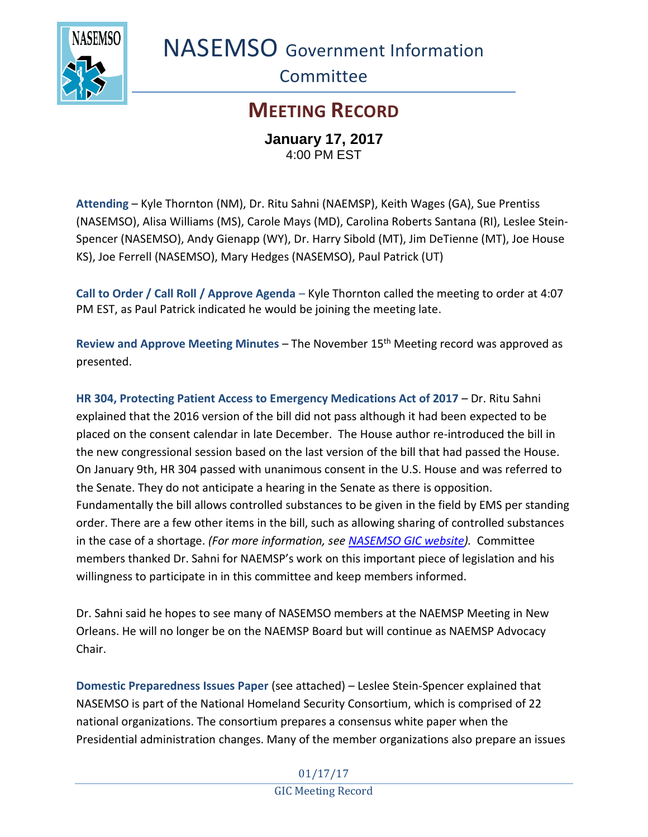

NASEMSO Government Information

**Committee** 

## **MEETING RECORD**

**January 17, 2017** 4:00 PM EST

**Attending** – Kyle Thornton (NM), Dr. Ritu Sahni (NAEMSP), Keith Wages (GA), Sue Prentiss (NASEMSO), Alisa Williams (MS), Carole Mays (MD), Carolina Roberts Santana (RI), Leslee Stein-Spencer (NASEMSO), Andy Gienapp (WY), Dr. Harry Sibold (MT), Jim DeTienne (MT), Joe House KS), Joe Ferrell (NASEMSO), Mary Hedges (NASEMSO), Paul Patrick (UT)

**Call to Order / Call Roll / Approve Agenda** – Kyle Thornton called the meeting to order at 4:07 PM EST, as Paul Patrick indicated he would be joining the meeting late.

**Review and Approve Meeting Minutes – The November 15<sup>th</sup> Meeting record was approved as** presented.

**HR 304, Protecting Patient Access to Emergency Medications Act of 2017** – Dr. Ritu Sahni explained that the 2016 version of the bill did not pass although it had been expected to be placed on the consent calendar in late December. The House author re-introduced the bill in the new congressional session based on the last version of the bill that had passed the House. On January 9th, HR 304 passed with unanimous consent in the U.S. House and was referred to the Senate. They do not anticipate a hearing in the Senate as there is opposition. Fundamentally the bill allows controlled substances to be given in the field by EMS per standing order. There are a few other items in the bill, such as allowing sharing of controlled substances in the case of a shortage. *(For more information, see [NASEMSO GIC website\)](https://www.nasemso.org/Projects/Legislative-Regulatory-Issues.asp).* Committee members thanked Dr. Sahni for NAEMSP's work on this important piece of legislation and his willingness to participate in in this committee and keep members informed.

Dr. Sahni said he hopes to see many of NASEMSO members at the NAEMSP Meeting in New Orleans. He will no longer be on the NAEMSP Board but will continue as NAEMSP Advocacy Chair.

**Domestic Preparedness Issues Paper** (see attached) – Leslee Stein-Spencer explained that NASEMSO is part of the National Homeland Security Consortium, which is comprised of 22 national organizations. The consortium prepares a consensus white paper when the Presidential administration changes. Many of the member organizations also prepare an issues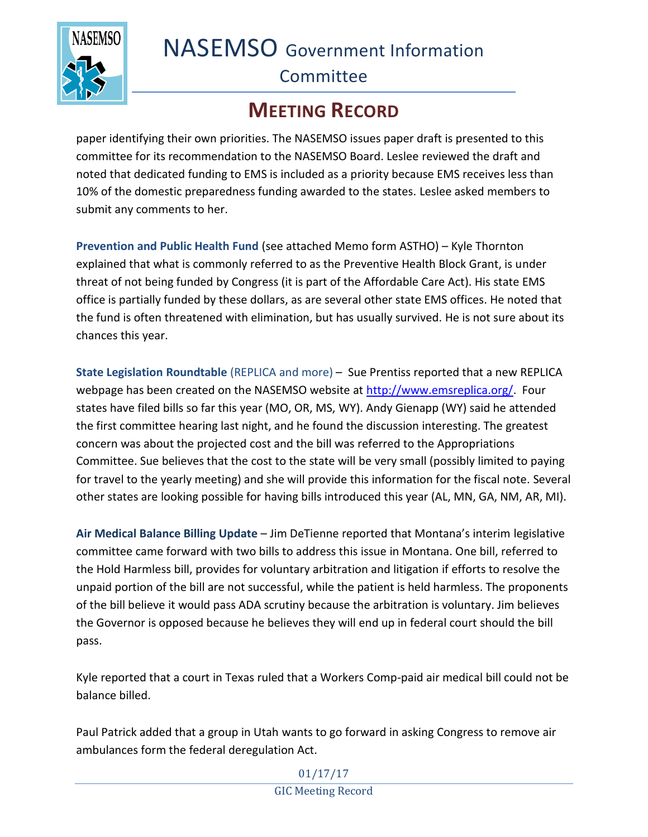NASEMSO Government Information



## **Committee**

## **MEETING RECORD**

paper identifying their own priorities. The NASEMSO issues paper draft is presented to this committee for its recommendation to the NASEMSO Board. Leslee reviewed the draft and noted that dedicated funding to EMS is included as a priority because EMS receives less than 10% of the domestic preparedness funding awarded to the states. Leslee asked members to submit any comments to her.

**Prevention and Public Health Fund** (see attached Memo form ASTHO) – Kyle Thornton explained that what is commonly referred to as the Preventive Health Block Grant, is under threat of not being funded by Congress (it is part of the Affordable Care Act). His state EMS office is partially funded by these dollars, as are several other state EMS offices. He noted that the fund is often threatened with elimination, but has usually survived. He is not sure about its chances this year.

**State Legislation Roundtable** (REPLICA and more) – Sue Prentiss reported that a new REPLICA webpage has been created on the NASEMSO website at [http://www.emsreplica.org/.](http://www.emsreplica.org/) Four states have filed bills so far this year (MO, OR, MS, WY). Andy Gienapp (WY) said he attended the first committee hearing last night, and he found the discussion interesting. The greatest concern was about the projected cost and the bill was referred to the Appropriations Committee. Sue believes that the cost to the state will be very small (possibly limited to paying for travel to the yearly meeting) and she will provide this information for the fiscal note. Several other states are looking possible for having bills introduced this year (AL, MN, GA, NM, AR, MI).

**Air Medical Balance Billing Update** – Jim DeTienne reported that Montana's interim legislative committee came forward with two bills to address this issue in Montana. One bill, referred to the Hold Harmless bill, provides for voluntary arbitration and litigation if efforts to resolve the unpaid portion of the bill are not successful, while the patient is held harmless. The proponents of the bill believe it would pass ADA scrutiny because the arbitration is voluntary. Jim believes the Governor is opposed because he believes they will end up in federal court should the bill pass.

Kyle reported that a court in Texas ruled that a Workers Comp-paid air medical bill could not be balance billed.

Paul Patrick added that a group in Utah wants to go forward in asking Congress to remove air ambulances form the federal deregulation Act.

> 01/17/17 GIC Meeting Record